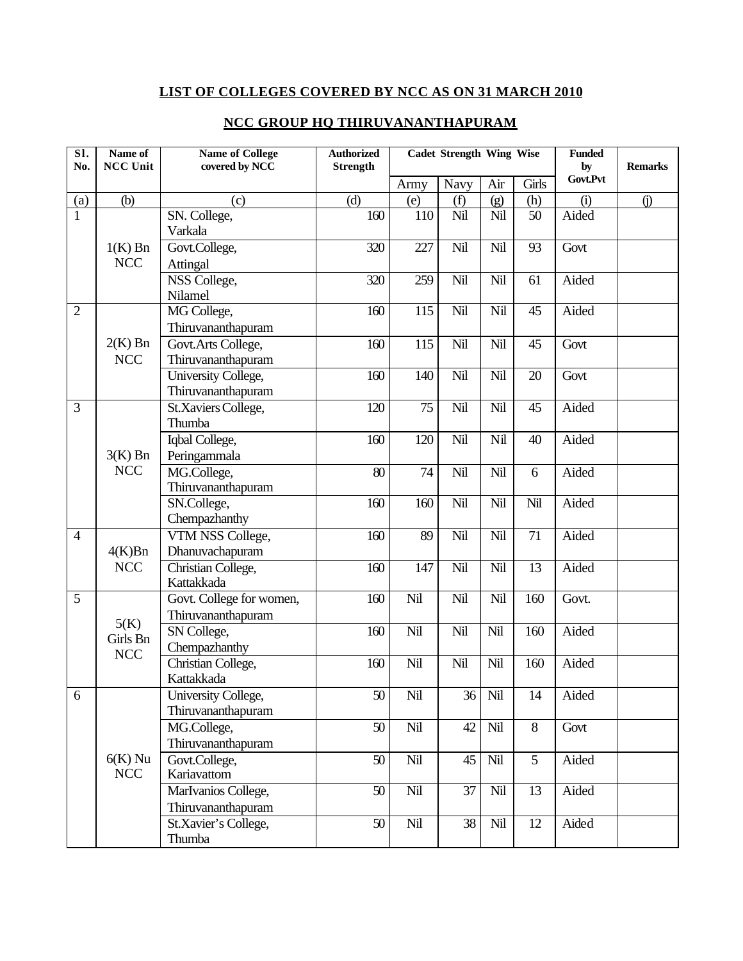## **LIST OF COLLEGES COVERED BY NCC AS ON 31 MARCH 2010**

| $\overline{\text{SI}}$<br>No. | Name of<br><b>NCC Unit</b> | <b>Name of College</b><br>covered by NCC  | <b>Authorized</b><br><b>Strength</b> | <b>Cadet Strength Wing Wise</b> |      |     |                 | <b>Funded</b><br>by | <b>Remarks</b> |  |
|-------------------------------|----------------------------|-------------------------------------------|--------------------------------------|---------------------------------|------|-----|-----------------|---------------------|----------------|--|
|                               |                            |                                           |                                      | Army                            | Navy | Air | Girls           | Govt.Pvt            |                |  |
| (a)                           | (b)                        | (c)                                       | (d)                                  | (e)                             | (f)  | (g) | (h)             | (i)                 | $\circ$        |  |
| $\mathbf{1}$                  |                            | SN. College,                              | 160                                  | 110                             | Nil  | Nil | 50              | Aided               |                |  |
|                               |                            | Varkala                                   |                                      |                                 |      |     |                 |                     |                |  |
|                               | $1(K)$ Bn                  | Govt.College,                             | 320                                  | 227                             | Nil  | Nil | 93              | Govt                |                |  |
|                               | <b>NCC</b>                 | Attingal                                  |                                      |                                 |      |     |                 |                     |                |  |
|                               |                            | NSS College,                              | 320                                  | 259                             | Nil  | Nil | 61              | Aided               |                |  |
|                               |                            | Nilamel                                   |                                      |                                 |      |     |                 |                     |                |  |
| $\overline{2}$                |                            | MG College,                               | 160                                  | 115                             | Nil  | Nil | 45              | Aided               |                |  |
|                               |                            | Thiruvananthapuram                        |                                      |                                 |      |     |                 |                     |                |  |
|                               | $2(K)$ Bn                  | Govt.Arts College,                        | 160                                  | 115                             | Nil  | Nil | 45              | Govt                |                |  |
|                               | <b>NCC</b>                 | Thiruvananthapuram                        |                                      |                                 |      |     |                 |                     |                |  |
|                               |                            | University College,                       | 160                                  | 140                             | Nil  | Nil | 20              | Govt                |                |  |
| 3                             |                            | Thiruvananthapuram<br>St.Xaviers College, | 120                                  | 75                              | Nil  | Nil | 45              | Aided               |                |  |
|                               |                            | Thumba                                    |                                      |                                 |      |     |                 |                     |                |  |
|                               |                            | Iqbal College,                            | 160                                  | 120                             | Nil  | Nil | 40              | Aided               |                |  |
|                               | $3(K)$ Bn                  | Peringammala                              |                                      |                                 |      |     |                 |                     |                |  |
|                               | <b>NCC</b>                 | MG.College,                               | 80                                   | 74                              | Nil  | Nil | 6               | Aided               |                |  |
|                               |                            | Thiruvananthapuram                        |                                      |                                 |      |     |                 |                     |                |  |
|                               |                            | SN.College,                               | 160                                  | 160                             | Nil  | Nil | Nil             | Aided               |                |  |
|                               |                            | Chempazhanthy                             |                                      |                                 |      |     |                 |                     |                |  |
| $\overline{4}$                |                            | VTM NSS College,                          | 160                                  | 89                              | Nil  | Nil | 71              | Aided               |                |  |
|                               | 4(K)Bn<br><b>NCC</b>       | Dhanuvachapuram                           |                                      |                                 |      |     |                 |                     |                |  |
|                               |                            | Christian College,                        | 160                                  | 147                             | Nil  | Nil | 13              | Aided               |                |  |
|                               |                            | Kattakkada                                |                                      |                                 |      |     |                 |                     |                |  |
| 5                             |                            | Govt. College for women,                  | 160                                  | Nil                             | Nil  | Nil | 160             | Govt.               |                |  |
|                               | 5(K)                       | Thiruvananthapuram                        |                                      |                                 |      |     |                 |                     |                |  |
|                               | Girls Bn<br><b>NCC</b>     | SN College,                               | 160                                  | Nil                             | Nil  | Nil | 160             | Aided               |                |  |
|                               |                            | Chempazhanthy                             |                                      |                                 |      |     |                 |                     |                |  |
|                               |                            | Christian College,                        | 160                                  | Nil                             | Nil  | Nil | 160             | Aided               |                |  |
|                               |                            | Kattakkada                                |                                      |                                 |      |     |                 |                     |                |  |
| 6                             | $6(K)$ Nu<br><b>NCC</b>    | University College,                       | $50\,$                               | Nil                             | 36   | Nil | 14              | Aided               |                |  |
|                               |                            | Thiruvananthapuram                        |                                      |                                 |      |     |                 |                     |                |  |
|                               |                            | MG.College,                               | $50\,$                               | Nil                             | 42   | Nil | 8               | Govt                |                |  |
|                               |                            | Thiruvananthapuram                        |                                      |                                 |      |     |                 |                     |                |  |
|                               |                            | Govt.College,<br>Kariavattom              | 50                                   | Nil                             | 45   | Nil | $5\overline{)}$ | Aided               |                |  |
|                               |                            | MarIvanios College,                       | 50                                   | Nil                             | 37   | Nil | 13              | Aided               |                |  |
|                               |                            | Thiruvananthapuram                        |                                      |                                 |      |     |                 |                     |                |  |
|                               |                            | St.Xavier's College,                      | 50                                   | Nil                             | 38   | Nil | 12              | Aided               |                |  |
|                               |                            | Thumba                                    |                                      |                                 |      |     |                 |                     |                |  |

## **NCC GROUP HQ THIRUVANANTHAPURAM**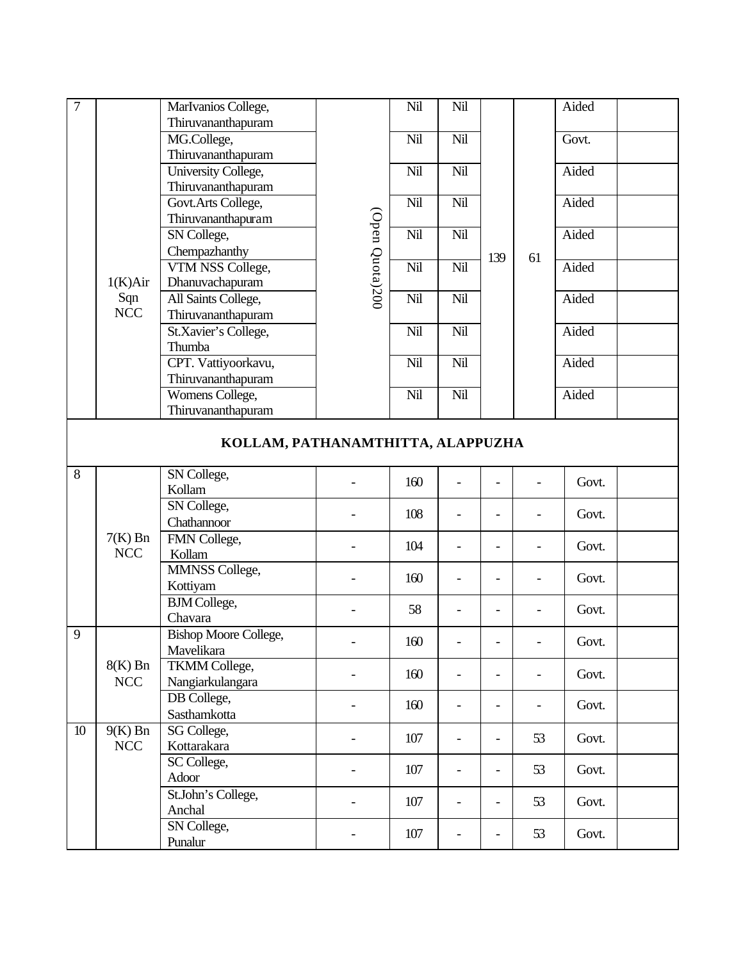| $\overline{7}$ |                  | MarIvanios College,               |                 | Nil | Nil                      |                          |                          | Aided |  |
|----------------|------------------|-----------------------------------|-----------------|-----|--------------------------|--------------------------|--------------------------|-------|--|
|                |                  | Thiruvananthapuram                |                 |     |                          |                          |                          |       |  |
|                |                  | MG.College,                       |                 | Nil | Nil                      |                          |                          | Govt. |  |
|                |                  | Thiruvananthapuram                |                 |     |                          |                          |                          |       |  |
|                |                  | University College,               |                 | Nil | Nil                      |                          |                          | Aided |  |
|                | 1(K) Air         | Thiruvananthapuram                | (Open Quota)200 |     |                          | 139                      | 61                       |       |  |
|                |                  | Govt.Arts College,                |                 | Nil | Nil                      |                          |                          | Aided |  |
|                |                  | Thiruvananthapuram                |                 |     |                          |                          |                          |       |  |
|                |                  | SN College,                       |                 | Nil | Nil                      |                          |                          | Aided |  |
|                |                  | Chempazhanthy                     |                 |     |                          |                          |                          |       |  |
|                |                  | VTM NSS College,                  |                 | Nil | Nil                      |                          |                          | Aided |  |
|                |                  | Dhanuvachapuram                   |                 |     |                          |                          |                          |       |  |
|                | Sqn              | All Saints College,               |                 | Nil | Nil                      |                          |                          | Aided |  |
|                | NCC              |                                   |                 |     |                          |                          |                          |       |  |
|                |                  | Thiruvananthapuram                |                 |     |                          |                          |                          |       |  |
|                |                  | St.Xavier's College,<br>Thumba    |                 | Nil | Nil                      |                          |                          | Aided |  |
|                |                  |                                   |                 |     |                          |                          |                          |       |  |
|                |                  | CPT. Vattiyoorkavu,               |                 | Nil | Nil                      |                          |                          | Aided |  |
|                |                  | Thiruvananthapuram                |                 |     |                          |                          |                          |       |  |
|                |                  | Womens College,                   |                 | Nil | Nil                      |                          |                          | Aided |  |
|                |                  | Thiruvananthapuram                |                 |     |                          |                          |                          |       |  |
|                |                  | KOLLAM, PATHANAMTHITTA, ALAPPUZHA |                 |     |                          |                          |                          |       |  |
| 8              |                  | SN College,                       |                 |     |                          |                          |                          |       |  |
|                |                  | Kollam                            |                 | 160 |                          |                          |                          | Govt. |  |
|                | $7(K)$ Bn<br>NCC | SN College,                       |                 |     |                          |                          |                          |       |  |
|                |                  | Chathannoor                       |                 | 108 |                          |                          |                          | Govt. |  |
|                |                  | FMN College,                      |                 |     |                          |                          |                          |       |  |
|                |                  | Kollam                            |                 | 104 | $\overline{\phantom{a}}$ |                          | $\overline{\phantom{a}}$ | Govt. |  |
|                |                  | MMNSS College,                    |                 |     |                          |                          |                          |       |  |
|                |                  |                                   |                 | 160 |                          |                          |                          | Govt. |  |
|                |                  | Kottiyam                          |                 |     |                          |                          |                          |       |  |
|                |                  | <b>BJM</b> College,               |                 | 58  |                          |                          | $\overline{\phantom{a}}$ | Govt. |  |
|                |                  | Chavara                           |                 |     |                          |                          |                          |       |  |
| 9              | $8(K)$ Bn        | <b>Bishop Moore College,</b>      |                 | 160 |                          |                          |                          | Govt. |  |
|                |                  | Mavelikara                        |                 |     |                          |                          |                          |       |  |
|                |                  | <b>TKMM</b> College,              |                 | 160 |                          |                          | $\overline{\phantom{a}}$ | Govt. |  |
|                | NCC              | Nangiarkulangara                  |                 |     |                          |                          |                          |       |  |
|                |                  | DB College,                       |                 | 160 | $\overline{\phantom{a}}$ | $\overline{\phantom{0}}$ | $\qquad \qquad -$        | Govt. |  |
|                |                  | Sasthamkotta                      |                 |     |                          |                          |                          |       |  |
| 10             | $9(K)$ Bn        | SG College,                       |                 | 107 |                          |                          | 53                       | Govt. |  |
|                | NCC              | Kottarakara                       |                 |     |                          |                          |                          |       |  |
|                |                  | SC College,                       |                 | 107 | $\overline{\phantom{a}}$ | $\overline{\phantom{a}}$ | 53                       | Govt. |  |
|                |                  | Adoor                             |                 |     |                          |                          |                          |       |  |
|                |                  | St.John's College,                |                 | 107 |                          |                          | 53                       | Govt. |  |
|                |                  | Anchal                            |                 |     |                          |                          |                          |       |  |
|                |                  | SN College,                       |                 | 107 |                          |                          | 53                       | Govt. |  |
|                |                  | Punalur                           |                 |     |                          |                          |                          |       |  |